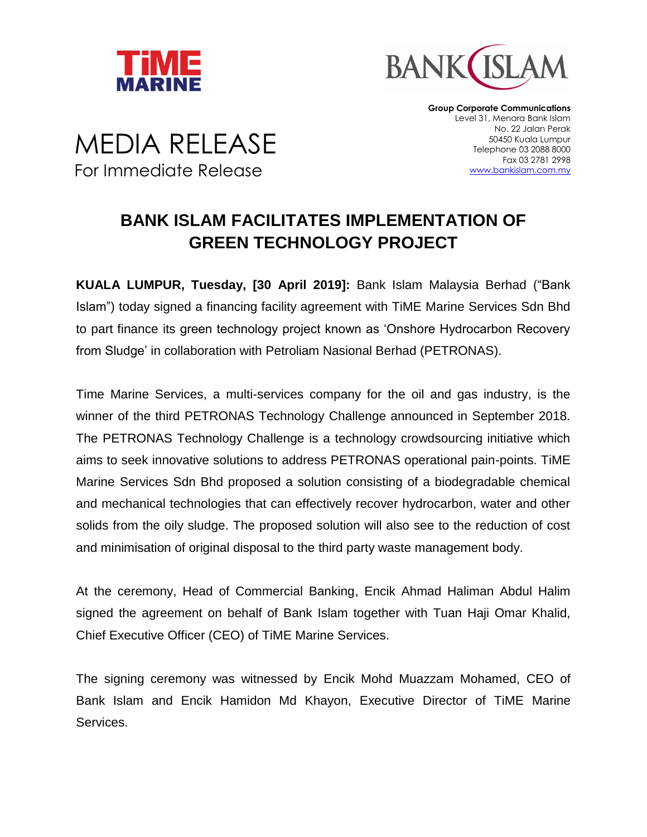



MEDIA RELEASE For Immediate Release

**Group Corporate Communications** Level 31, Menara Bank Islam No. 22 Jalan Perak 50450 Kuala Lumpur Telephone 03 2088 8000 Fax 03 2781 2998 www.bankislam.com.my

## **BANK ISLAM FACILITATES IMPLEMENTATION OF GREEN TECHNOLOGY PROJECT**

**KUALA LUMPUR, Tuesday, [30 April 2019]:** Bank Islam Malaysia Berhad ("Bank Islam") today signed a financing facility agreement with TiME Marine Services Sdn Bhd to part finance its green technology project known as 'Onshore Hydrocarbon Recovery from Sludge' in collaboration with Petroliam Nasional Berhad (PETRONAS).

Time Marine Services, a multi-services company for the oil and gas industry, is the winner of the third PETRONAS Technology Challenge announced in September 2018. The PETRONAS Technology Challenge is a technology crowdsourcing initiative which aims to seek innovative solutions to address PETRONAS operational pain-points. TiME Marine Services Sdn Bhd proposed a solution consisting of a biodegradable chemical and mechanical technologies that can effectively recover hydrocarbon, water and other solids from the oily sludge. The proposed solution will also see to the reduction of cost and minimisation of original disposal to the third party waste management body.

At the ceremony, Head of Commercial Banking, Encik Ahmad Haliman Abdul Halim signed the agreement on behalf of Bank Islam together with Tuan Haji Omar Khalid, Chief Executive Officer (CEO) of TiME Marine Services.

The signing ceremony was witnessed by Encik Mohd Muazzam Mohamed, CEO of Bank Islam and Encik Hamidon Md Khayon, Executive Director of TiME Marine Services.